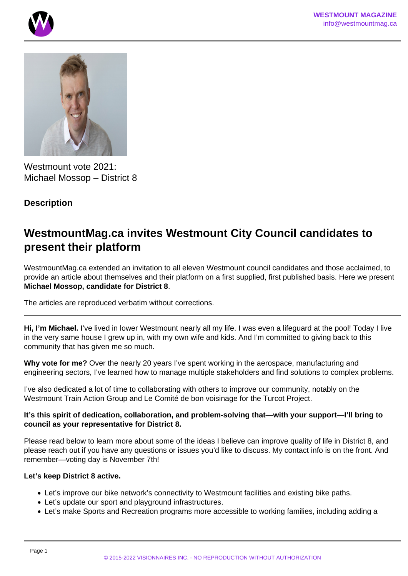



Westmount vote 2021: Michael Mossop – District 8

## **Description**

# **WestmountMag.ca invites Westmount City Council candidates to present their platform**

WestmountMag.ca extended an invitation to all eleven Westmount council candidates and those acclaimed, to provide an article about themselves and their platform on a first supplied, first published basis. Here we present **Michael Mossop, candidate for District 8**.

The articles are reproduced verbatim without corrections.

**Hi, I'm Michael.** I've lived in lower Westmount nearly all my life. I was even a lifeguard at the pool! Today I live in the very same house I grew up in, with my own wife and kids. And I'm committed to giving back to this community that has given me so much.

**Why vote for me?** Over the nearly 20 years I've spent working in the aerospace, manufacturing and engineering sectors, I've learned how to manage multiple stakeholders and find solutions to complex problems.

I've also dedicated a lot of time to collaborating with others to improve our community, notably on the Westmount Train Action Group and Le Comité de bon voisinage for the Turcot Project.

**It's this spirit of dedication, collaboration, and problem-solving that—with your support—I'll bring to council as your representative for District 8.**

Please read below to learn more about some of the ideas I believe can improve quality of life in District 8, and please reach out if you have any questions or issues you'd like to discuss. My contact info is on the front. And remember—voting day is November 7th!

#### **Let's keep District 8 active.**

- Let's improve our bike network's connectivity to Westmount facilities and existing bike paths.
- Let's update our sport and playground infrastructures.
- Let's make Sports and Recreation programs more accessible to working families, including adding a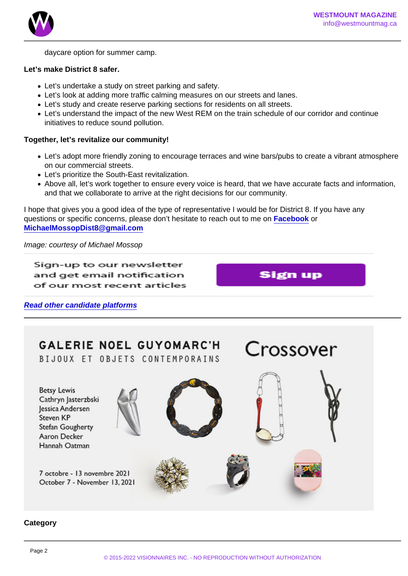daycare option for summer camp.

Let's make District 8 safer.

- Let's undertake a study on street parking and safety.
- Let's look at adding more traffic calming measures on our streets and lanes.
- Let's study and create reserve parking sections for residents on all streets.
- Let's understand the impact of the new West REM on the train schedule of our corridor and continue initiatives to reduce sound pollution.

Together, let's revitalize our community!

- Let's adopt more friendly zoning to encourage terraces and wine bars/pubs to create a vibrant atmosphere on our commercial streets.
- Let's prioritize the South-East revitalization.
- Above all, let's work together to ensure every voice is heard, that we have accurate facts and information, and that we collaborate to arrive at the right decisions for our community.

I hope that gives you a good idea of the type of representative I would be for District 8. If you have any questions or specific concerns, please don't hesitate to reach out to me on [Facebook](https://www.facebook.com/MichaelMossopDistrict8) or [MichaelMossopDist8@gmail.com](mailto:MichaelMossopDist8@gmail.com)

Image: courtesy of Michael Mossop

Read other candidate platforms

**Category**